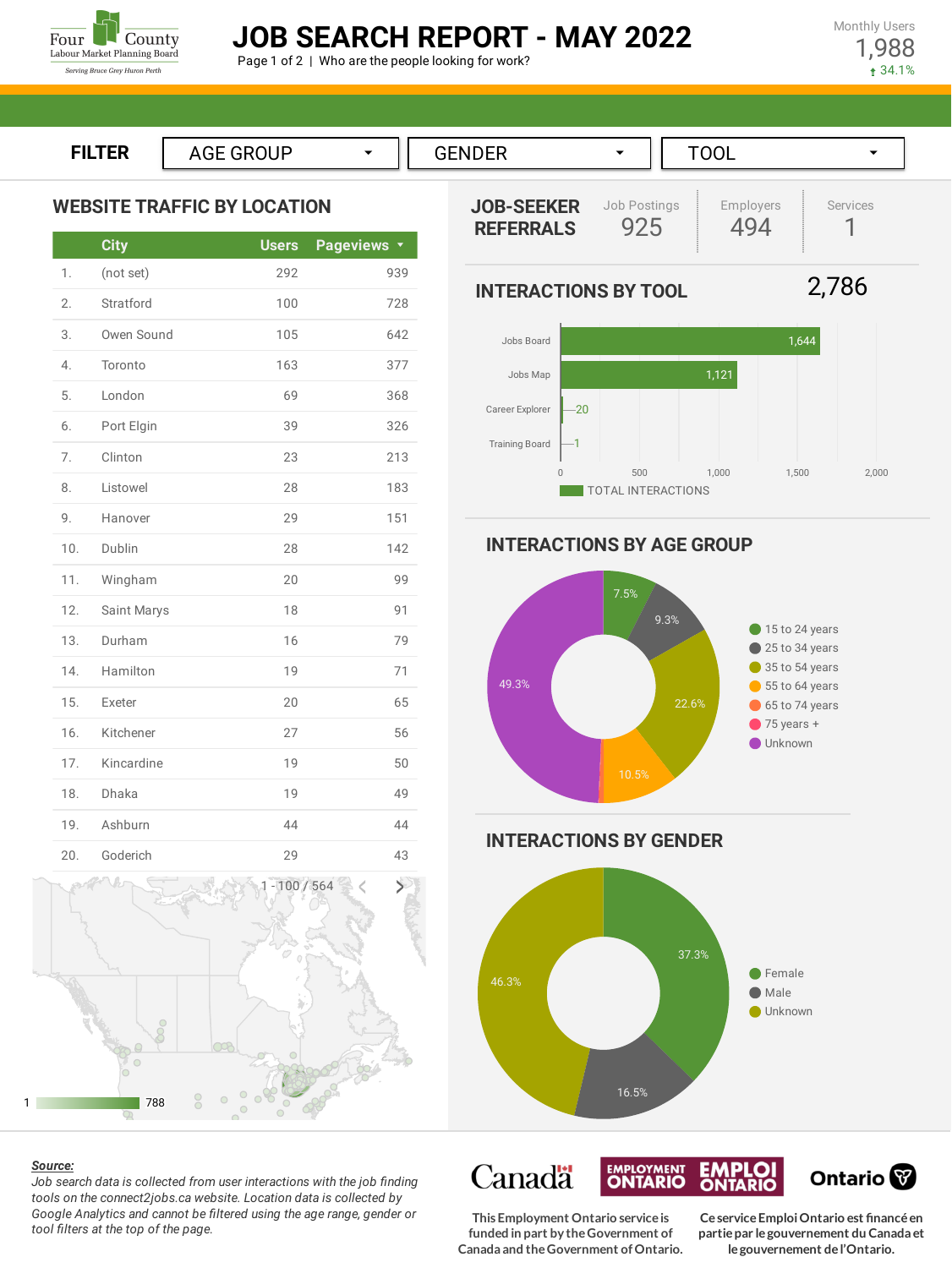

# **JOB SEARCH REPORT - MAY 2022**

Page 1 of 2 | Who are the people looking for work?

Monthly Users 1,988 34.1%



|     | <b>City</b> | <b>Users</b> | <b>Pageviews</b> |
|-----|-------------|--------------|------------------|
| 1.  | (not set)   | 292          | 939              |
| 2.  | Stratford   | 100          | 728              |
| 3.  | Owen Sound  | 105          | 642              |
| 4.  | Toronto     | 163          | 377              |
| 5.  | London      | 69           | 368              |
| 6.  | Port Elgin  | 39           | 326              |
| 7.  | Clinton     | 23           | 213              |
| 8.  | Listowel    | 28           | 183              |
| 9.  | Hanover     | 29           | 151              |
| 10. | Dublin      | 28           | 142              |
| 11. | Wingham     | 20           | 99               |
| 12. | Saint Marys | 18           | 91               |
| 13. | Durham      | 16           | 79               |
| 14. | Hamilton    | 19           | 71               |
| 15. | Exeter      | 20           | 65               |
| 16. | Kitchener   | 27           | 56               |
| 17. | Kincardine  | 19           | 50               |
| 18. | Dhaka       | 19           | 49               |
| 19. | Ashburn     | 44           | 44               |
| 20. | Goderich    | 29           | 43               |



#### *Source:*

*Job search data is collected from user interactions with the job finding tools on the connect2jobs.ca website. Location data is collected by Google Analytics and cannot be filtered using the age range, gender or tool filters at the top of the page.*



**INTERACTIONS BY AGE GROUP**



**INTERACTIONS BY GENDER**



Canadä **EMPLOYMENT**<br>**ONTARIO EMPLOI**<br>ONTARIO Ontario<sup>®</sup>

**This Employment Ontario serviceis funded in part by theGovernment of Canada and theGovernment ofOntario.**

**CeserviceEmploiOntario est financéen partiepar legouvernement du Canada et legouvernement del'Ontario.**